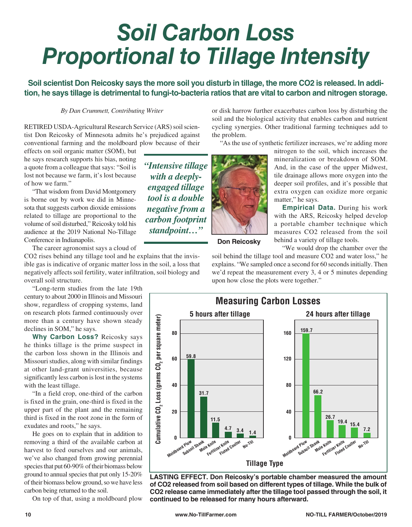## *Soil Carbon Loss Proportional to Tillage Intensity*

**Soil scientist Don Reicosky says the more soil you disturb in tillage, the more CO2 is released. In addition, he says tillage is detrimental to fungi-to-bacteria ratios that are vital to carbon and nitrogen storage.**

## *By Dan Crummett, Contributing Writer*

RETIRED USDA-Agricultural Research Service (ARS) soil scientist Don Reicosky of Minnesota admits he's prejudiced against conventional farming and the moldboard plow because of their

effects on soil organic matter (SOM), but he says research supports his bias, noting a quote from a colleague that says: "Soil is lost not because we farm, it's lost because of how we farm."

"That wisdom from David Montgomery is borne out by work we did in Minnesota that suggests carbon dioxide emissions related to tillage are proportional to the volume of soil disturbed," Reicosky told his audience at the 2019 National No-Tillage Conference in Indianapolis.

The career agronomist says a cloud of

CO2 rises behind any tillage tool and he explains that the invisible gas is indicative of organic matter loss in the soil, a loss that negatively affects soil fertility, water infiltration, soil biology and overall soil structure.

"Long-term studies from the late 19th century to about 2000 in Illinois and Missouri show, regardless of cropping systems, land on research plots farmed continuously over more than a century have shown steady declines in SOM," he says.

**Why Carbon Loss?** Reicosky says he thinks tillage is the prime suspect in the carbon loss shown in the Illinois and Missouri studies, along with similar findings at other land-grant universities, because significantly less carbon is lost in the systems with the least tillage.

"In a field crop, one-third of the carbon is fixed in the grain, one-third is fixed in the upper part of the plant and the remaining third is fixed in the root zone in the form of exudates and roots," he says.

He goes on to explain that in addition to removing a third of the available carbon at harvest to feed ourselves and our animals, we've also changed from growing perennial species that put 60-90% of their biomass below ground to annual species that put only 15-20% of their biomass below ground, so we have less carbon being returned to the soil.

On top of that, using a moldboard plow

*"Intensive tillage with a deeplyengaged tillage tool is a double negative from a carbon footprint standpoint…"*



or disk harrow further exacerbates carbon loss by disturbing the soil and the biological activity that enables carbon and nutrient cycling synergies. Other traditional farming techniques add to the problem.

"As the use of synthetic fertilizer increases, we're adding more

nitrogen to the soil, which increases the mineralization or breakdown of SOM. And, in the case of the upper Midwest, tile drainage allows more oxygen into the deeper soil profiles, and it's possible that extra oxygen can oxidize more organic matter," he says.

**Empirical Data.** During his work with the ARS, Reicosky helped develop a portable chamber technique which measures CO2 released from the soil behind a variety of tillage tools.

**Don Reicosky**

"We would drop the chamber over the soil behind the tillage tool and measure CO2 and water loss," he explains. "We sampled once a second for 60 seconds initially. Then we'd repeat the measurement every 3, 4 or 5 minutes depending upon how close the plots were together."



**LASTING EFFECT. Don Reicosky's portable chamber measured the amount of CO2 released from soil based on different types of tillage. While the bulk of CO2 release came immediately after the tillage tool passed through the soil, it continued to be released for many hours afterward.**